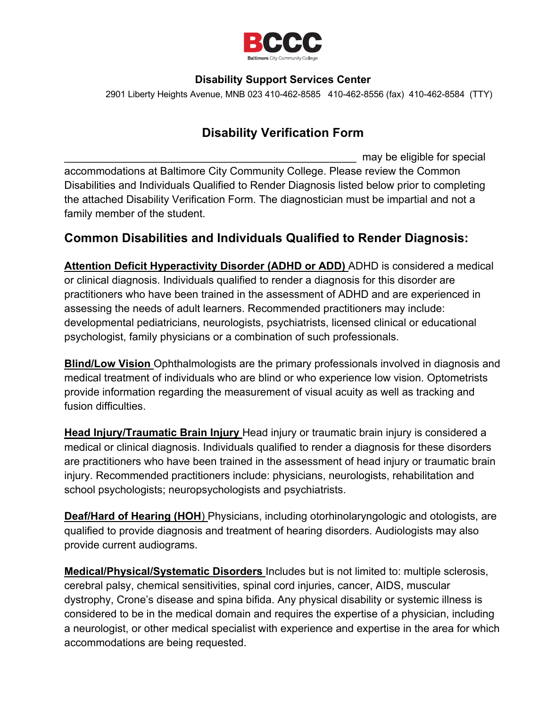

#### **Disability Support Services Center**

2901 Liberty Heights Avenue, MNB 023 410-462-8585 410-462-8556 (fax) 410-462-8584 (TTY)

## **Disability Verification Form**

may be eligible for special accommodations at Baltimore City Community College. Please review the Common Disabilities and Individuals Qualified to Render Diagnosis listed below prior to completing the attached Disability Verification Form. The diagnostician must be impartial and not a family member of the student.

## **Common Disabilities and Individuals Qualified to Render Diagnosis:**

**Attention Deficit Hyperactivity Disorder (ADHD or ADD)** ADHD is considered a medical or clinical diagnosis. Individuals qualified to render a diagnosis for this disorder are practitioners who have been trained in the assessment of ADHD and are experienced in assessing the needs of adult learners. Recommended practitioners may include: developmental pediatricians, neurologists, psychiatrists, licensed clinical or educational psychologist, family physicians or a combination of such professionals.

**Blind/Low Vision** Ophthalmologists are the primary professionals involved in diagnosis and medical treatment of individuals who are blind or who experience low vision. Optometrists provide information regarding the measurement of visual acuity as well as tracking and fusion difficulties.

**Head Injury/Traumatic Brain Injury** Head injury or traumatic brain injury is considered a medical or clinical diagnosis. Individuals qualified to render a diagnosis for these disorders are practitioners who have been trained in the assessment of head injury or traumatic brain injury. Recommended practitioners include: physicians, neurologists, rehabilitation and school psychologists; neuropsychologists and psychiatrists.

**Deaf/Hard of Hearing (HOH**) Physicians, including otorhinolaryngologic and otologists, are qualified to provide diagnosis and treatment of hearing disorders. Audiologists may also provide current audiograms.

**Medical/Physical/Systematic Disorders** Includes but is not limited to: multiple sclerosis, cerebral palsy, chemical sensitivities, spinal cord injuries, cancer, AIDS, muscular dystrophy, Crone's disease and spina bifida. Any physical disability or systemic illness is considered to be in the medical domain and requires the expertise of a physician, including a neurologist, or other medical specialist with experience and expertise in the area for which accommodations are being requested.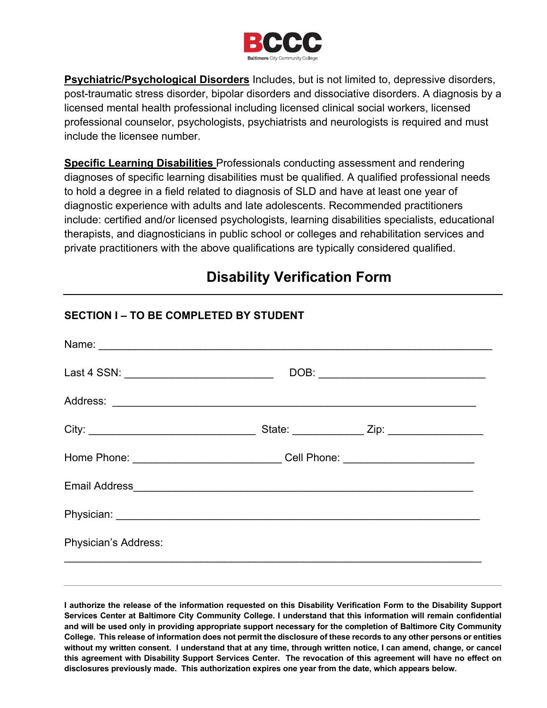

**Psychiatric/Psychological Disorders** Includes, but is not limited to, depressive disorders, post-traumatic stress disorder, bipolar disorders and dissociative disorders. A diagnosis by a licensed mental health professional including licensed clinical social workers, licensed professional counselor, psychologists, psychiatrists and neurologists is required and must include the licensee number.

**Specific Learning Disabilities** Professionals conducting assessment and rendering diagnoses of specific learning disabilities must be qualified. A qualified professional needs to hold a degree in a field related to diagnosis of SLD and have at least one year of diagnostic experience with adults and late adolescents. Recommended practitioners include: certified and/or licensed psychologists, learning disabilities specialists, educational therapists, and diagnosticians in public school or colleges and rehabilitation services and private practitioners with the above qualifications are typically considered qualified.

# **Disability Verification Form**

| Last 4 SSN: ______________________________ |                                                                                  |  |
|--------------------------------------------|----------------------------------------------------------------------------------|--|
|                                            |                                                                                  |  |
|                                            | State: _______________ Zip: ___________________                                  |  |
|                                            | Home Phone: ________________________________Cell Phone: ________________________ |  |
|                                            |                                                                                  |  |
|                                            |                                                                                  |  |
| Physician's Address:                       |                                                                                  |  |

## **SECTION I – TO BE COMPLETED BY STUDENT**

**I authorize the release of the information requested on this Disability Verification Form to the Disability Support Services Center at Baltimore City Community College. I understand that this information will remain confidential and will be used only in providing appropriate support necessary for the completion of Baltimore City Community College. This release of information does not permit the disclosure of these records to any other persons or entities without my written consent. I understand that at any time, through written notice, I can amend, change, or cancel this agreement with Disability Support Services Center. The revocation of this agreement will have no effect on disclosures previously made. This authorization expires one year from the date, which appears below.**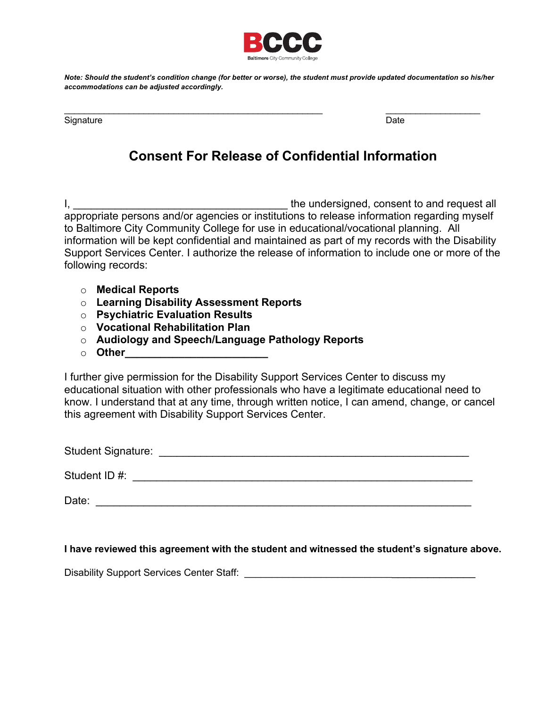

*Note: Should the student's condition change (for better or worse), the student must provide updated documentation so his/her accommodations can be adjusted accordingly.*

Signature Date **Date of Contract Contract Contract Contract Contract Contract Contract Contract Contract Contract Contract Contract Contract Contract Contract Contract Contract Contract Contract Contract Contract Contract** 

\_\_\_\_\_\_\_\_\_\_\_\_\_\_\_\_\_\_\_\_\_\_\_\_\_\_\_\_\_\_\_\_\_\_\_\_\_\_\_\_\_\_\_\_\_\_\_\_\_\_\_\_ \_\_\_\_\_\_\_\_\_\_\_\_\_\_\_\_\_\_\_

## **Consent For Release of Confidential Information**

I, \_\_\_\_\_\_\_\_\_\_\_\_\_\_\_\_\_\_\_\_\_\_\_\_\_\_\_\_\_\_\_\_\_\_\_\_ the undersigned, consent to and request all appropriate persons and/or agencies or institutions to release information regarding myself to Baltimore City Community College for use in educational/vocational planning. All information will be kept confidential and maintained as part of my records with the Disability Support Services Center. I authorize the release of information to include one or more of the following records:

- o **Medical Reports**
- o **Learning Disability Assessment Reports**
- o **Psychiatric Evaluation Results**
- o **Vocational Rehabilitation Plan**
- o **Audiology and Speech/Language Pathology Reports**
- o **Other\_\_\_\_\_\_\_\_\_\_\_\_\_\_\_\_\_\_\_\_\_\_\_\_**

I further give permission for the Disability Support Services Center to discuss my educational situation with other professionals who have a legitimate educational need to know. I understand that at any time, through written notice, I can amend, change, or cancel this agreement with Disability Support Services Center.

Student Signature: \_\_\_\_\_\_\_\_\_\_\_\_\_\_\_\_\_\_\_\_\_\_\_\_\_\_\_\_\_\_\_\_\_\_\_\_\_\_\_\_\_\_\_\_\_\_\_\_\_\_\_\_

Student ID #:  $\blacksquare$ 

Date: \_\_\_\_\_\_\_\_\_\_\_\_\_\_\_\_\_\_\_\_\_\_\_\_\_\_\_\_\_\_\_\_\_\_\_\_\_\_\_\_\_\_\_\_\_\_\_\_\_\_\_\_\_\_\_\_\_\_\_\_\_\_\_

**I have reviewed this agreement with the student and witnessed the student's signature above.**

Disability Support Services Center Staff: **Example 2018**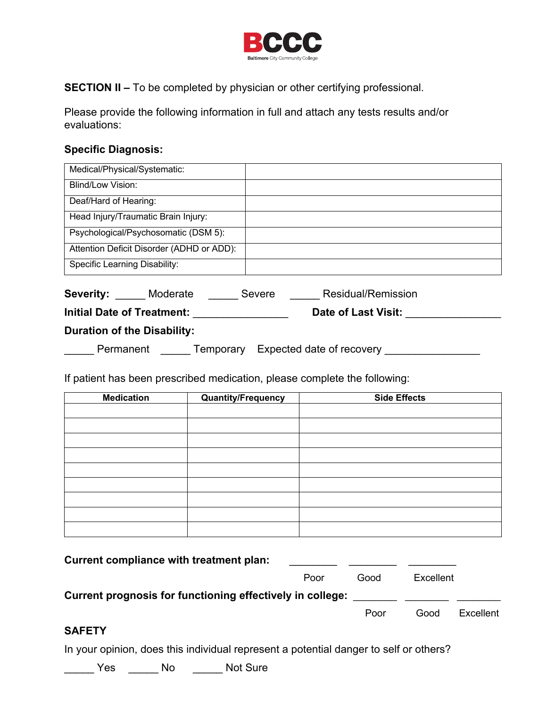

**SECTION II –** To be completed by physician or other certifying professional.

Please provide the following information in full and attach any tests results and/or evaluations:

#### **Specific Diagnosis:**

| Medical/Physical/Systematic:              |                                     |
|-------------------------------------------|-------------------------------------|
| Blind/Low Vision:                         |                                     |
| Deaf/Hard of Hearing:                     |                                     |
| Head Injury/Traumatic Brain Injury:       |                                     |
| Psychological/Psychosomatic (DSM 5):      |                                     |
| Attention Deficit Disorder (ADHD or ADD): |                                     |
| Specific Learning Disability:             |                                     |
| <b>Severity:</b> Moderate                 | <b>Residual/Remission</b><br>Severe |
| <b>Initial Date of Treatment:</b>         | <b>Date of Last Visit:</b>          |
| <b>Duration of the Disability:</b>        |                                     |
| Permanent<br>Temporary                    | Expected date of recovery           |

If patient has been prescribed medication, please complete the following:

| <b>Medication</b> | Quantity/Frequency | <b>Side Effects</b> |
|-------------------|--------------------|---------------------|
|                   |                    |                     |
|                   |                    |                     |
|                   |                    |                     |
|                   |                    |                     |
|                   |                    |                     |
|                   |                    |                     |
|                   |                    |                     |
|                   |                    |                     |
|                   |                    |                     |

| Current compliance with treatment plan:                   |      |      |           |           |
|-----------------------------------------------------------|------|------|-----------|-----------|
|                                                           | Poor | Good | Excellent |           |
| Current prognosis for functioning effectively in college: |      |      |           |           |
|                                                           |      | Poor | Good      | Excellent |
|                                                           |      |      |           |           |

#### **SAFETY**

In your opinion, does this individual represent a potential danger to self or others?

\_\_\_\_\_ Yes \_\_\_\_\_ No \_\_\_\_\_ Not Sure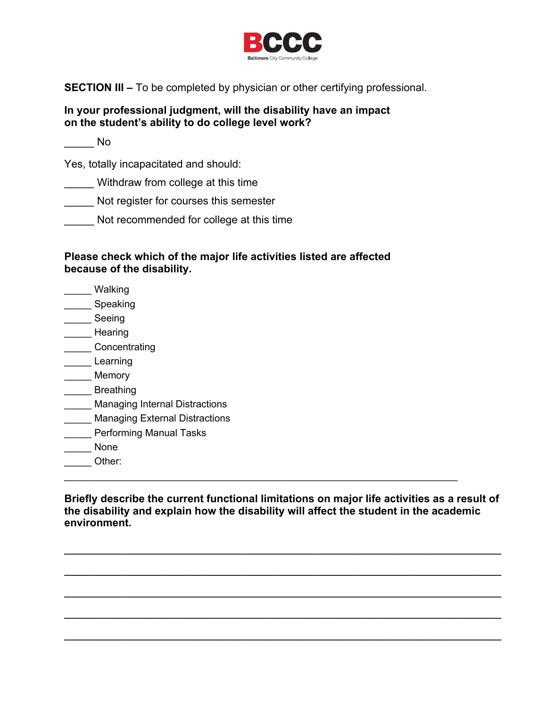

**SECTION III –** To be completed by physician or other certifying professional.

#### **In your professional judgment, will the disability have an impact on the student's ability to do college level work?**

 $\overline{\phantom{a}}$  No

Yes, totally incapacitated and should:

Withdraw from college at this time

\_\_\_\_\_ Not register for courses this semester

Not recommended for college at this time

#### **Please check which of the major life activities listed are affected because of the disability.**

- \_\_\_\_\_ Walking
- \_\_\_\_\_ Speaking
- \_\_\_\_\_ Seeing
- \_\_\_\_\_ Hearing
- \_\_\_\_\_ Concentrating
- Learning
- \_\_\_\_\_ Memory
- \_\_\_\_\_ Breathing
- Managing Internal Distractions
- Managing External Distractions
- \_\_\_\_\_ Performing Manual Tasks
- \_\_\_\_\_ None
- \_\_\_\_\_ Other:

**Briefly describe the current functional limitations on major life activities as a result of the disability and explain how the disability will affect the student in the academic environment.** 

**\_\_\_\_\_\_\_\_\_\_\_\_\_\_\_\_\_\_\_\_\_\_\_\_\_\_\_\_\_\_\_\_\_\_\_\_\_\_\_\_\_\_\_\_\_\_\_\_\_\_\_\_\_\_\_\_\_\_\_\_\_\_\_\_\_\_\_\_\_\_\_\_\_\_\_\_\_\_\_\_\_\_\_\_\_\_\_\_**

**\_\_\_\_\_\_\_\_\_\_\_\_\_\_\_\_\_\_\_\_\_\_\_\_\_\_\_\_\_\_\_\_\_\_\_\_\_\_\_\_\_\_\_\_\_\_\_\_\_\_\_\_\_\_\_\_\_\_\_\_\_\_\_\_\_\_\_\_\_\_\_\_\_\_\_\_\_\_\_\_\_\_\_\_\_\_\_\_**

**\_\_\_\_\_\_\_\_\_\_\_\_\_\_\_\_\_\_\_\_\_\_\_\_\_\_\_\_\_\_\_\_\_\_\_\_\_\_\_\_\_\_\_\_\_\_\_\_\_\_\_\_\_\_\_\_\_\_\_\_\_\_\_\_\_\_\_\_\_\_\_\_\_\_\_\_\_\_\_\_\_\_\_\_\_\_\_\_**

**\_\_\_\_\_\_\_\_\_\_\_\_\_\_\_\_\_\_\_\_\_\_\_\_\_\_\_\_\_\_\_\_\_\_\_\_\_\_\_\_\_\_\_\_\_\_\_\_\_\_\_\_\_\_\_\_\_\_\_\_\_\_\_\_\_\_\_\_\_\_\_\_\_\_\_\_\_\_\_\_\_\_\_\_\_\_\_\_**

**\_\_\_\_\_\_\_\_\_\_\_\_\_\_\_\_\_\_\_\_\_\_\_\_\_\_\_\_\_\_\_\_\_\_\_\_\_\_\_\_\_\_\_\_\_\_\_\_\_\_\_\_\_\_\_\_\_\_\_\_\_\_\_\_\_\_\_\_\_\_\_\_\_\_\_\_\_\_\_\_\_\_\_\_\_\_\_\_**